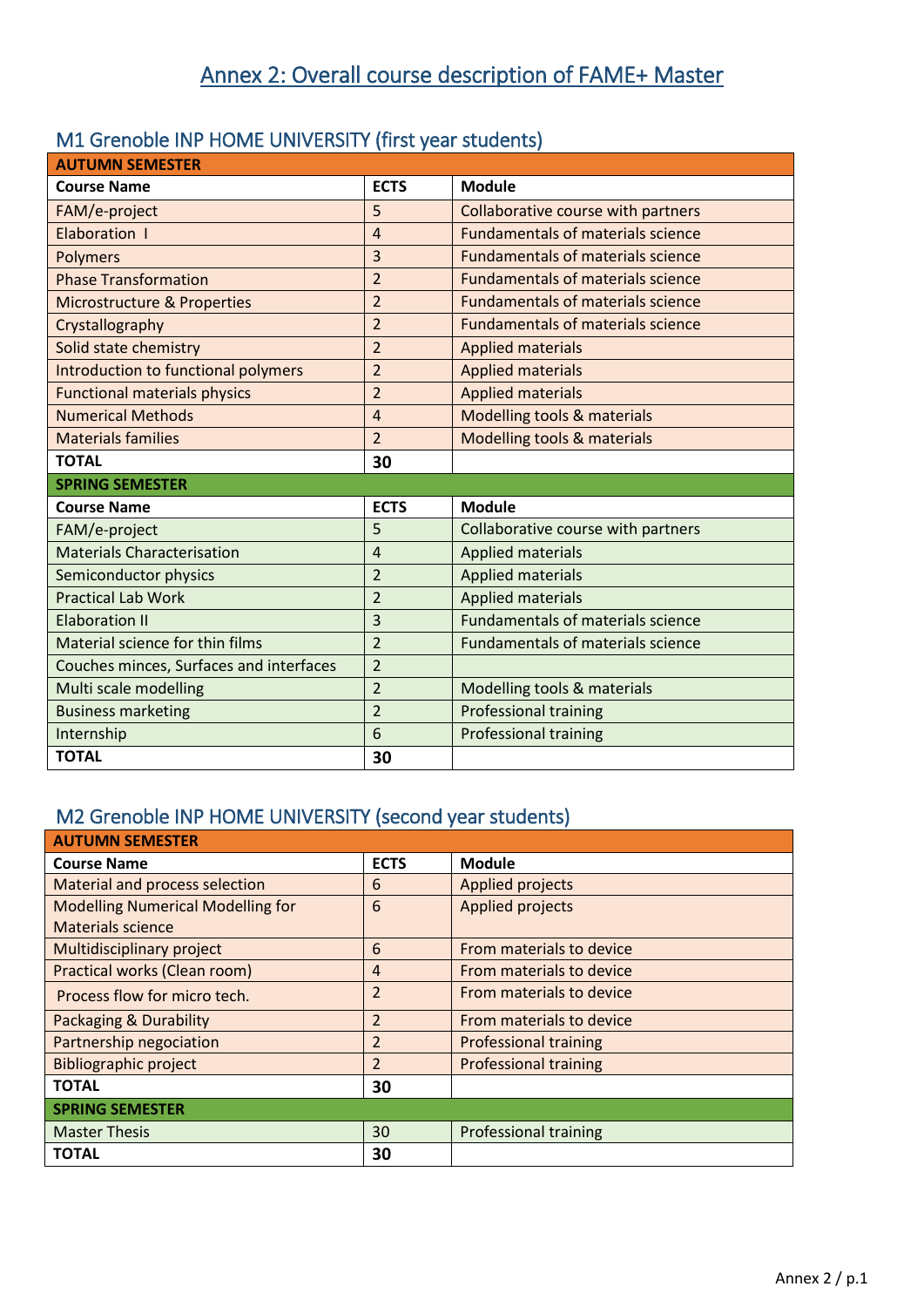## M1 Grenoble INP HOME UNIVERSITY (first year students)

| <b>AUTUMN SEMESTER</b>                  |                |                                          |  |
|-----------------------------------------|----------------|------------------------------------------|--|
| <b>Course Name</b>                      | <b>ECTS</b>    | <b>Module</b>                            |  |
| FAM/e-project                           | 5              | Collaborative course with partners       |  |
| Elaboration I                           | $\overline{4}$ | <b>Fundamentals of materials science</b> |  |
| <b>Polymers</b>                         | 3              | <b>Fundamentals of materials science</b> |  |
| <b>Phase Transformation</b>             | $\overline{2}$ | <b>Fundamentals of materials science</b> |  |
| <b>Microstructure &amp; Properties</b>  | $\overline{2}$ | <b>Fundamentals of materials science</b> |  |
| Crystallography                         | $\overline{2}$ | <b>Fundamentals of materials science</b> |  |
| Solid state chemistry                   | $\overline{2}$ | <b>Applied materials</b>                 |  |
| Introduction to functional polymers     | $\overline{2}$ | <b>Applied materials</b>                 |  |
| <b>Functional materials physics</b>     | $\overline{2}$ | <b>Applied materials</b>                 |  |
| <b>Numerical Methods</b>                | $\overline{4}$ | Modelling tools & materials              |  |
| <b>Materials families</b>               | $\overline{2}$ | Modelling tools & materials              |  |
| <b>TOTAL</b>                            | 30             |                                          |  |
| <b>SPRING SEMESTER</b>                  |                |                                          |  |
| <b>Course Name</b>                      | <b>ECTS</b>    | <b>Module</b>                            |  |
| FAM/e-project                           | 5              | Collaborative course with partners       |  |
| <b>Materials Characterisation</b>       | $\overline{4}$ | <b>Applied materials</b>                 |  |
| Semiconductor physics                   | $\overline{2}$ | <b>Applied materials</b>                 |  |
| <b>Practical Lab Work</b>               | $\overline{2}$ | <b>Applied materials</b>                 |  |
| <b>Elaboration II</b>                   | 3              | <b>Fundamentals of materials science</b> |  |
| Material science for thin films         | $\overline{2}$ | <b>Fundamentals of materials science</b> |  |
| Couches minces, Surfaces and interfaces | $\overline{2}$ |                                          |  |
| Multi scale modelling                   | $\overline{2}$ | Modelling tools & materials              |  |
| <b>Business marketing</b>               | $\overline{2}$ | <b>Professional training</b>             |  |
| Internship                              | 6              | <b>Professional training</b>             |  |
| <b>TOTAL</b>                            | 30             |                                          |  |

## M2 Grenoble INP HOME UNIVERSITY (second year students)

| <b>AUTUMN SEMESTER</b>                   |                |                              |  |
|------------------------------------------|----------------|------------------------------|--|
| <b>Course Name</b>                       | <b>ECTS</b>    | <b>Module</b>                |  |
| Material and process selection           | 6              | <b>Applied projects</b>      |  |
| <b>Modelling Numerical Modelling for</b> | 6              | <b>Applied projects</b>      |  |
| <b>Materials science</b>                 |                |                              |  |
| Multidisciplinary project                | 6              | From materials to device     |  |
| Practical works (Clean room)             | 4              | From materials to device     |  |
| Process flow for micro tech.             | $\overline{2}$ | From materials to device     |  |
| <b>Packaging &amp; Durability</b>        | $\overline{2}$ | From materials to device     |  |
| Partnership negociation                  | 2              | <b>Professional training</b> |  |
| <b>Bibliographic project</b>             | $\overline{2}$ | <b>Professional training</b> |  |
| TOTAL                                    | 30             |                              |  |
| <b>SPRING SEMESTER</b>                   |                |                              |  |
| <b>Master Thesis</b>                     | 30             | <b>Professional training</b> |  |
| <b>TOTAL</b>                             | 30             |                              |  |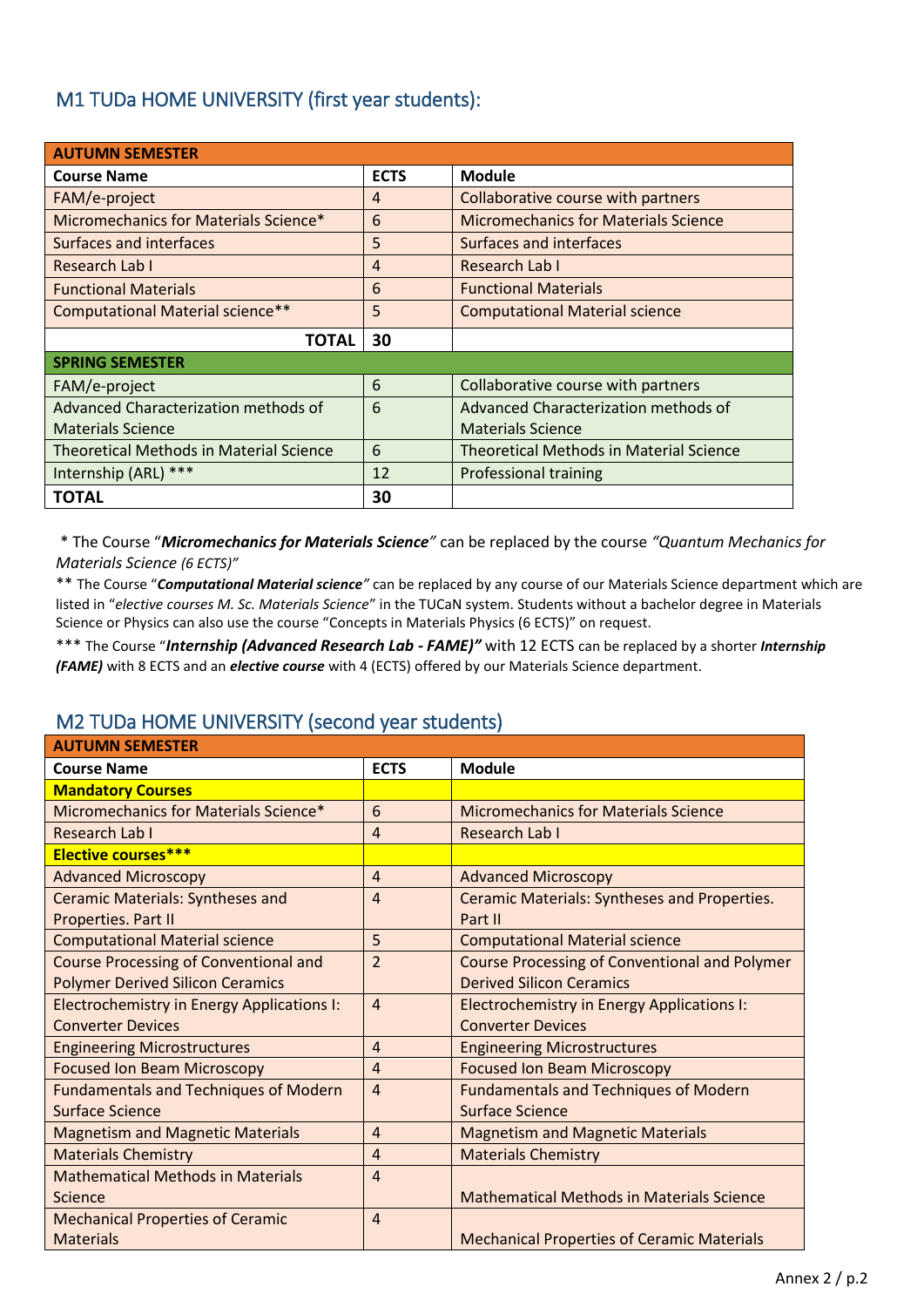#### M1 TUDa HOME UNIVERSITY (first year students):

| <b>AUTUMN SEMESTER</b>                         |             |                                                |
|------------------------------------------------|-------------|------------------------------------------------|
| <b>Course Name</b>                             | <b>ECTS</b> | <b>Module</b>                                  |
| FAM/e-project                                  | 4           | Collaborative course with partners             |
| Micromechanics for Materials Science*          | 6           | <b>Micromechanics for Materials Science</b>    |
| Surfaces and interfaces                        | 5           | Surfaces and interfaces                        |
| Research Lab I                                 | 4           | Research Lab I                                 |
| <b>Functional Materials</b>                    | 6           | <b>Functional Materials</b>                    |
| Computational Material science**               | 5           | <b>Computational Material science</b>          |
| <b>TOTAL</b>                                   | 30          |                                                |
| <b>SPRING SEMESTER</b>                         |             |                                                |
| FAM/e-project                                  | 6           | Collaborative course with partners             |
| Advanced Characterization methods of           | 6           | Advanced Characterization methods of           |
| <b>Materials Science</b>                       |             | <b>Materials Science</b>                       |
| <b>Theoretical Methods in Material Science</b> | 6           | <b>Theoretical Methods in Material Science</b> |
| Internship (ARL) ***                           | 12          | <b>Professional training</b>                   |
| TOTAL                                          | 30          |                                                |

\* The Course "*Micromechanics for Materials Science"* can be replaced by the course *"Quantum Mechanics for Materials Science (6 ECTS)"* 

\*\* The Course "*Computational Material science"* can be replaced by any course of our Materials Science department which are listed in "*elective courses M. Sc. Materials Science*" in the TUCaN system. Students without a bachelor degree in Materials Science or Physics can also use the course "Concepts in Materials Physics (6 ECTS)" on request.

\*\*\* The Course "*Internship (Advanced Research Lab - FAME)"* with 12 ECTS can be replaced by a shorter *Internship (FAME)* with 8 ECTS and an *elective course* with 4 (ECTS) offered by our Materials Science department.

#### M2 TUDa HOME UNIVERSITY (second year students)

| <b>AUTUMN SEMESTER</b>                       |                |                                                      |  |
|----------------------------------------------|----------------|------------------------------------------------------|--|
| <b>Course Name</b>                           | <b>ECTS</b>    | <b>Module</b>                                        |  |
| <b>Mandatory Courses</b>                     |                |                                                      |  |
| Micromechanics for Materials Science*        | 6              | <b>Micromechanics for Materials Science</b>          |  |
| Research Lab I                               | $\overline{4}$ | Research Lab I                                       |  |
| <b>Elective courses***</b>                   |                |                                                      |  |
| <b>Advanced Microscopy</b>                   | $\overline{4}$ | <b>Advanced Microscopy</b>                           |  |
| <b>Ceramic Materials: Syntheses and</b>      | $\overline{4}$ | Ceramic Materials: Syntheses and Properties.         |  |
| Properties. Part II                          |                | Part II                                              |  |
| <b>Computational Material science</b>        | 5              | <b>Computational Material science</b>                |  |
| <b>Course Processing of Conventional and</b> | $\overline{2}$ | <b>Course Processing of Conventional and Polymer</b> |  |
| <b>Polymer Derived Silicon Ceramics</b>      |                | <b>Derived Silicon Ceramics</b>                      |  |
| Electrochemistry in Energy Applications I:   | $\overline{4}$ | Electrochemistry in Energy Applications I:           |  |
| <b>Converter Devices</b>                     |                | <b>Converter Devices</b>                             |  |
| <b>Engineering Microstructures</b>           | $\overline{4}$ | <b>Engineering Microstructures</b>                   |  |
| <b>Focused Ion Beam Microscopy</b>           | $\overline{4}$ | <b>Focused Ion Beam Microscopy</b>                   |  |
| <b>Fundamentals and Techniques of Modern</b> | $\overline{4}$ | <b>Fundamentals and Techniques of Modern</b>         |  |
| <b>Surface Science</b>                       |                | Surface Science                                      |  |
| <b>Magnetism and Magnetic Materials</b>      | $\overline{4}$ | <b>Magnetism and Magnetic Materials</b>              |  |
| <b>Materials Chemistry</b>                   | $\overline{4}$ | <b>Materials Chemistry</b>                           |  |
| <b>Mathematical Methods in Materials</b>     | $\overline{4}$ |                                                      |  |
| Science                                      |                | Mathematical Methods in Materials Science            |  |
| <b>Mechanical Properties of Ceramic</b>      | $\overline{4}$ |                                                      |  |
| <b>Materials</b>                             |                | <b>Mechanical Properties of Ceramic Materials</b>    |  |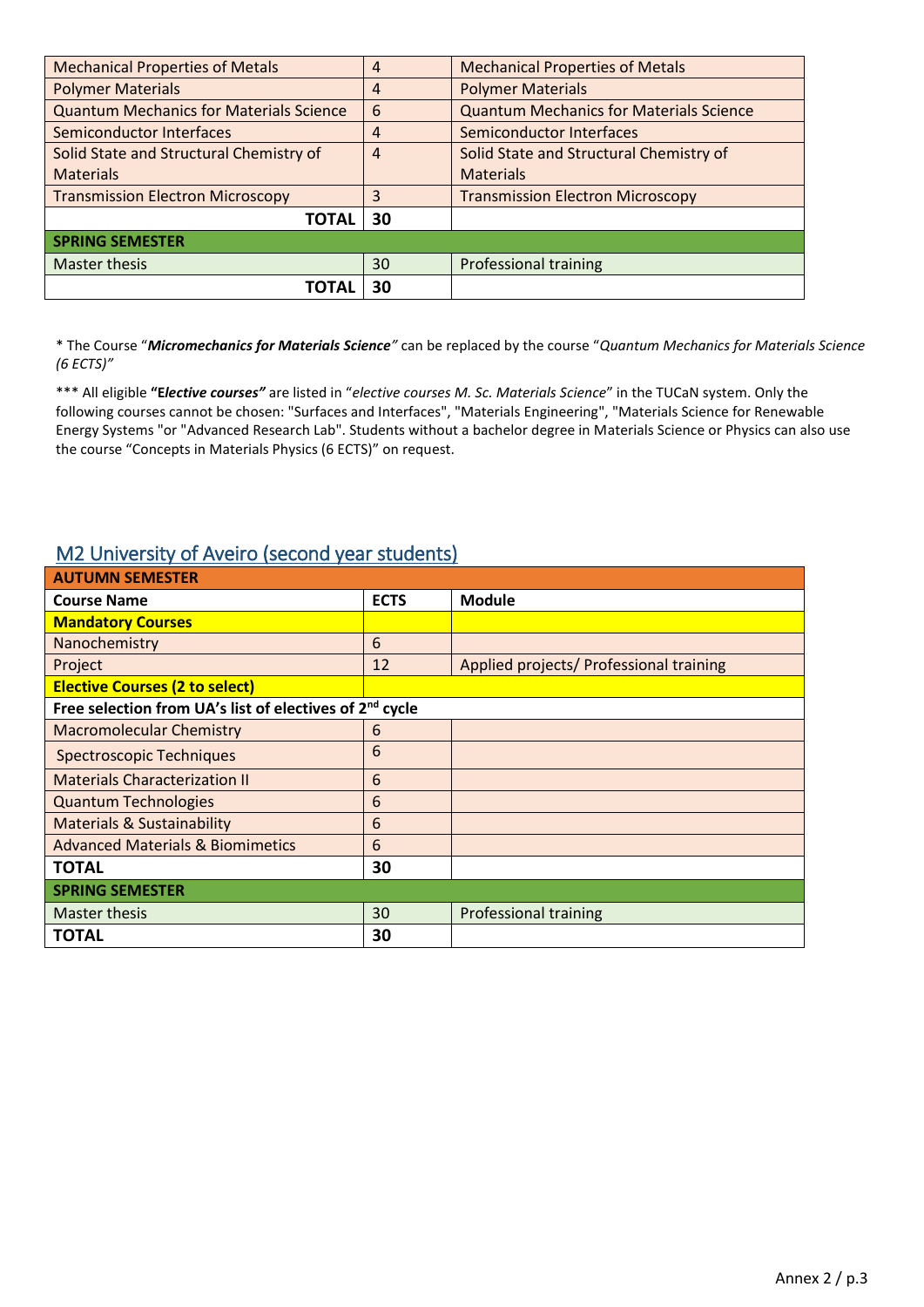| <b>Mechanical Properties of Metals</b>         | $\overline{4}$ | <b>Mechanical Properties of Metals</b>         |
|------------------------------------------------|----------------|------------------------------------------------|
| <b>Polymer Materials</b>                       | 4              | <b>Polymer Materials</b>                       |
| <b>Quantum Mechanics for Materials Science</b> | 6              | <b>Quantum Mechanics for Materials Science</b> |
| Semiconductor Interfaces                       | 4              | <b>Semiconductor Interfaces</b>                |
| Solid State and Structural Chemistry of        | $\overline{4}$ | Solid State and Structural Chemistry of        |
| <b>Materials</b>                               |                | <b>Materials</b>                               |
| <b>Transmission Electron Microscopy</b>        | 3              | <b>Transmission Electron Microscopy</b>        |
| <b>TOTAL</b>                                   | 30             |                                                |
| <b>SPRING SEMESTER</b>                         |                |                                                |
| Master thesis                                  | 30             | <b>Professional training</b>                   |
| ΤΟΤΑΙ                                          | 30             |                                                |

\* The Course "*Micromechanics for Materials Science"* can be replaced by the course "*Quantum Mechanics for Materials Science (6 ECTS)"* 

\*\*\* All eligible **"E***lective courses"* are listed in "*elective courses M. Sc. Materials Science*" in the TUCaN system. Only the following courses cannot be chosen: "Surfaces and Interfaces", "Materials Engineering", "Materials Science for Renewable Energy Systems "or "Advanced Research Lab". Students without a bachelor degree in Materials Science or Physics can also use the course "Concepts in Materials Physics (6 ECTS)" on request.

#### M2 University of Aveiro (second year students)

| <b>AUTUMN SEMESTER</b>                                              |             |                                         |  |
|---------------------------------------------------------------------|-------------|-----------------------------------------|--|
| <b>Course Name</b>                                                  | <b>ECTS</b> | <b>Module</b>                           |  |
| <b>Mandatory Courses</b>                                            |             |                                         |  |
| Nanochemistry                                                       | 6           |                                         |  |
| Project                                                             | 12          | Applied projects/ Professional training |  |
| <b>Elective Courses (2 to select)</b>                               |             |                                         |  |
| Free selection from UA's list of electives of 2 <sup>nd</sup> cycle |             |                                         |  |
| <b>Macromolecular Chemistry</b>                                     | 6           |                                         |  |
| <b>Spectroscopic Techniques</b>                                     | 6           |                                         |  |
| <b>Materials Characterization II</b>                                | 6           |                                         |  |
| <b>Quantum Technologies</b>                                         | 6           |                                         |  |
| <b>Materials &amp; Sustainability</b>                               | 6           |                                         |  |
| <b>Advanced Materials &amp; Biomimetics</b>                         | 6           |                                         |  |
| <b>TOTAL</b>                                                        | 30          |                                         |  |
| <b>SPRING SEMESTER</b>                                              |             |                                         |  |
| <b>Master thesis</b>                                                | 30          | <b>Professional training</b>            |  |
| <b>TOTAL</b>                                                        | 30          |                                         |  |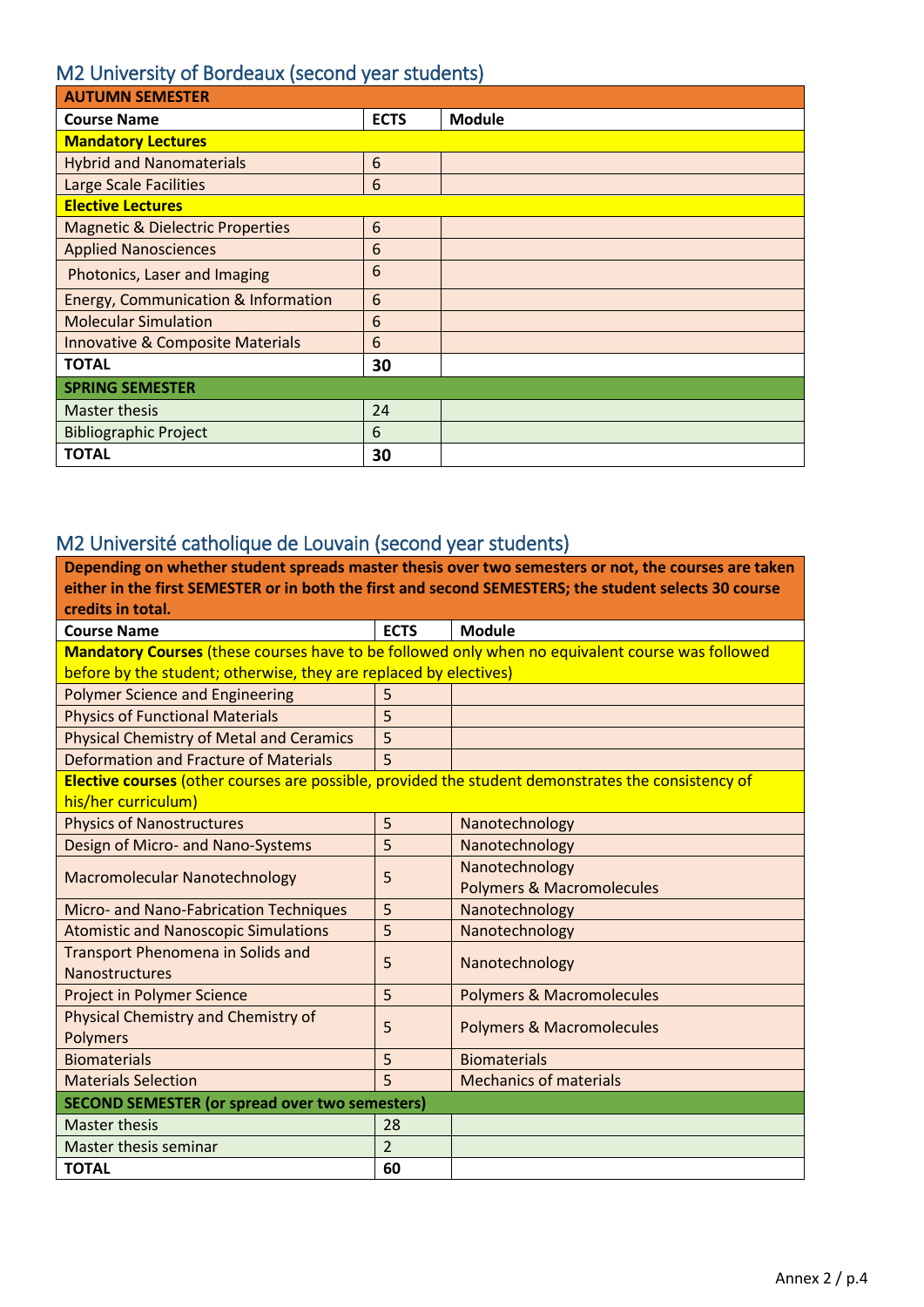### M2 University of Bordeaux (second year students)

| <b>AUTUMN SEMESTER</b>                      |             |               |
|---------------------------------------------|-------------|---------------|
| <b>Course Name</b>                          | <b>ECTS</b> | <b>Module</b> |
| <b>Mandatory Lectures</b>                   |             |               |
| <b>Hybrid and Nanomaterials</b>             | 6           |               |
| Large Scale Facilities                      | 6           |               |
| <b>Elective Lectures</b>                    |             |               |
| <b>Magnetic &amp; Dielectric Properties</b> | 6           |               |
| <b>Applied Nanosciences</b>                 | 6           |               |
| Photonics, Laser and Imaging                | 6           |               |
| Energy, Communication & Information         | 6           |               |
| <b>Molecular Simulation</b>                 | 6           |               |
| <b>Innovative &amp; Composite Materials</b> | 6           |               |
| <b>TOTAL</b>                                | 30          |               |
| <b>SPRING SEMESTER</b>                      |             |               |
| Master thesis                               | 24          |               |
| <b>Bibliographic Project</b>                | 6           |               |
| <b>TOTAL</b>                                | 30          |               |

## M2 Université catholique de Louvain (second year students)

| Depending on whether student spreads master thesis over two semesters or not, the courses are taken   |                |                                                                                                  |  |
|-------------------------------------------------------------------------------------------------------|----------------|--------------------------------------------------------------------------------------------------|--|
| either in the first SEMESTER or in both the first and second SEMESTERS; the student selects 30 course |                |                                                                                                  |  |
| credits in total.                                                                                     |                |                                                                                                  |  |
| <b>Course Name</b>                                                                                    | <b>ECTS</b>    | <b>Module</b>                                                                                    |  |
|                                                                                                       |                | Mandatory Courses (these courses have to be followed only when no equivalent course was followed |  |
| before by the student; otherwise, they are replaced by electives)                                     |                |                                                                                                  |  |
| <b>Polymer Science and Engineering</b>                                                                | 5              |                                                                                                  |  |
| <b>Physics of Functional Materials</b>                                                                | 5              |                                                                                                  |  |
| <b>Physical Chemistry of Metal and Ceramics</b>                                                       | 5              |                                                                                                  |  |
| Deformation and Fracture of Materials                                                                 | 5              |                                                                                                  |  |
| Elective courses (other courses are possible, provided the student demonstrates the consistency of    |                |                                                                                                  |  |
| his/her curriculum)                                                                                   |                |                                                                                                  |  |
| <b>Physics of Nanostructures</b>                                                                      | 5              | Nanotechnology                                                                                   |  |
| Design of Micro- and Nano-Systems                                                                     | 5              | Nanotechnology                                                                                   |  |
|                                                                                                       | 5              | Nanotechnology                                                                                   |  |
| <b>Macromolecular Nanotechnology</b>                                                                  |                | <b>Polymers &amp; Macromolecules</b>                                                             |  |
| Micro- and Nano-Fabrication Techniques                                                                | 5              | Nanotechnology                                                                                   |  |
| <b>Atomistic and Nanoscopic Simulations</b>                                                           | 5              | Nanotechnology                                                                                   |  |
| <b>Transport Phenomena in Solids and</b>                                                              | 5              |                                                                                                  |  |
| <b>Nanostructures</b>                                                                                 |                | Nanotechnology                                                                                   |  |
| <b>Project in Polymer Science</b>                                                                     | 5              | <b>Polymers &amp; Macromolecules</b>                                                             |  |
| Physical Chemistry and Chemistry of                                                                   | 5              | <b>Polymers &amp; Macromolecules</b>                                                             |  |
| <b>Polymers</b>                                                                                       |                |                                                                                                  |  |
| <b>Biomaterials</b>                                                                                   | 5              | <b>Biomaterials</b>                                                                              |  |
| <b>Materials Selection</b>                                                                            | 5              | <b>Mechanics of materials</b>                                                                    |  |
| <b>SECOND SEMESTER (or spread over two semesters)</b>                                                 |                |                                                                                                  |  |
| <b>Master thesis</b>                                                                                  | 28             |                                                                                                  |  |
| Master thesis seminar                                                                                 | $\overline{2}$ |                                                                                                  |  |
| <b>TOTAL</b>                                                                                          | 60             |                                                                                                  |  |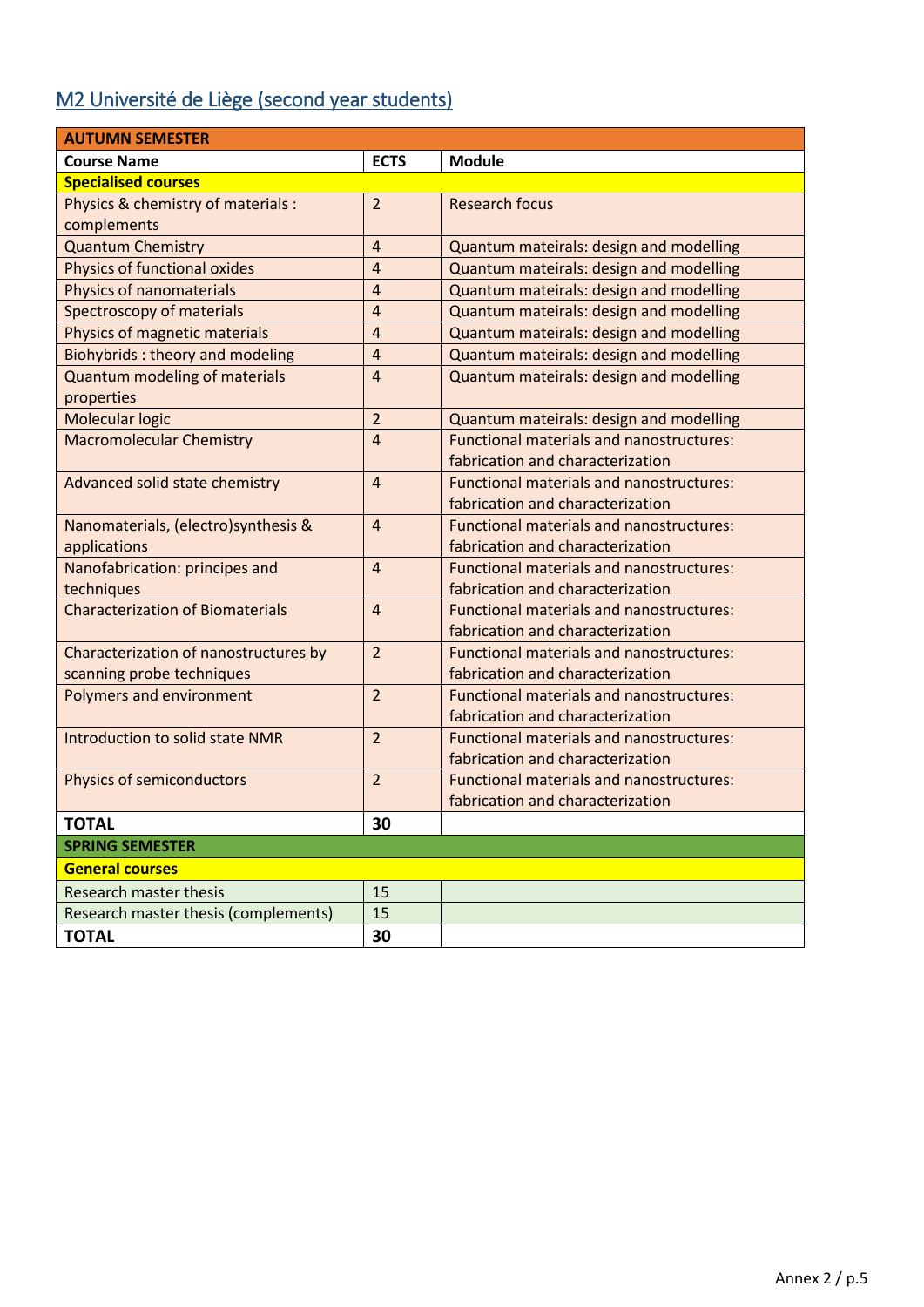# M2 Université de Liège (second year students)

| <b>AUTUMN SEMESTER</b>                  |                |                                                 |  |
|-----------------------------------------|----------------|-------------------------------------------------|--|
| <b>Course Name</b>                      | <b>ECTS</b>    | <b>Module</b>                                   |  |
| <b>Specialised courses</b>              |                |                                                 |  |
| Physics & chemistry of materials :      | $\overline{2}$ | <b>Research focus</b>                           |  |
| complements                             |                |                                                 |  |
| <b>Quantum Chemistry</b>                | $\overline{4}$ | Quantum mateirals: design and modelling         |  |
| Physics of functional oxides            | $\overline{4}$ | Quantum mateirals: design and modelling         |  |
| <b>Physics of nanomaterials</b>         | $\overline{4}$ | Quantum mateirals: design and modelling         |  |
| Spectroscopy of materials               | $\overline{4}$ | Quantum mateirals: design and modelling         |  |
| Physics of magnetic materials           | $\overline{4}$ | Quantum mateirals: design and modelling         |  |
| <b>Biohybrids: theory and modeling</b>  | $\overline{4}$ | Quantum mateirals: design and modelling         |  |
| <b>Quantum modeling of materials</b>    | $\overline{4}$ | Quantum mateirals: design and modelling         |  |
| properties                              |                |                                                 |  |
| Molecular logic                         | $\overline{2}$ | Quantum mateirals: design and modelling         |  |
| <b>Macromolecular Chemistry</b>         | 4              | <b>Functional materials and nanostructures:</b> |  |
|                                         |                | fabrication and characterization                |  |
| Advanced solid state chemistry          | $\overline{4}$ | Functional materials and nanostructures:        |  |
|                                         |                | fabrication and characterization                |  |
| Nanomaterials, (electro) synthesis &    | $\overline{4}$ | <b>Functional materials and nanostructures:</b> |  |
| applications                            |                | fabrication and characterization                |  |
| Nanofabrication: principes and          | $\overline{4}$ | Functional materials and nanostructures:        |  |
| techniques                              |                | fabrication and characterization                |  |
| <b>Characterization of Biomaterials</b> | $\overline{4}$ | Functional materials and nanostructures:        |  |
|                                         |                | fabrication and characterization                |  |
| Characterization of nanostructures by   | $\overline{2}$ | <b>Functional materials and nanostructures:</b> |  |
| scanning probe techniques               |                | fabrication and characterization                |  |
| Polymers and environment                | $\overline{2}$ | <b>Functional materials and nanostructures:</b> |  |
|                                         |                | fabrication and characterization                |  |
| Introduction to solid state NMR         | $\overline{2}$ | <b>Functional materials and nanostructures:</b> |  |
|                                         |                | fabrication and characterization                |  |
| <b>Physics of semiconductors</b>        | $\overline{2}$ | <b>Functional materials and nanostructures:</b> |  |
|                                         |                | fabrication and characterization                |  |
| <b>TOTAL</b>                            | 30             |                                                 |  |
| <b>SPRING SEMESTER</b>                  |                |                                                 |  |
| <b>General courses</b>                  |                |                                                 |  |
| <b>Research master thesis</b>           | 15             |                                                 |  |
| Research master thesis (complements)    | 15             |                                                 |  |
| <b>TOTAL</b>                            | 30             |                                                 |  |